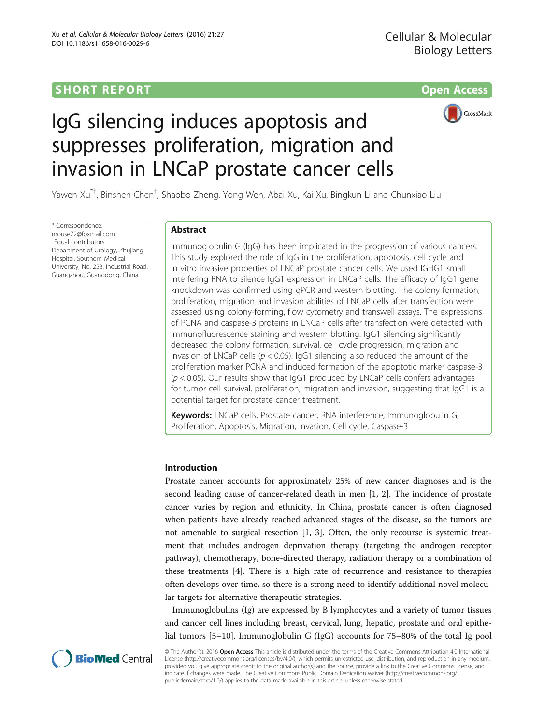# **SHORT REPORT SHORT CONSUMING THE CONSUMING THE CONSUMING THE CONSUMING THE CONSUMING THE CONSUMING THE CONSUMING THE CONSUMING THE CONSUMING THE CONSUMING THE CONSUMING THE CONSUMING THE CONSUMING THE CONSUMING THE CO**



# IgG silencing induces apoptosis and suppresses proliferation, migration and invasion in LNCaP prostate cancer cells

Yawen Xu $^{\ast+}$ , Binshen Chen $^{\dag}$ , Shaobo Zheng, Yong Wen, Abai Xu, Kai Xu, Bingkun Li and Chunxiao Liu

\* Correspondence: [mouse72@foxmail.com](mailto:mouse72@foxmail.com) † Equal contributors Department of Urology, Zhujiang Hospital, Southern Medical University, No. 253, Industrial Road, Guangzhou, Guangdong, China

# Abstract

Immunoglobulin G (IgG) has been implicated in the progression of various cancers. This study explored the role of IgG in the proliferation, apoptosis, cell cycle and in vitro invasive properties of LNCaP prostate cancer cells. We used IGHG1 small interfering RNA to silence IgG1 expression in LNCaP cells. The efficacy of IgG1 gene knockdown was confirmed using qPCR and western blotting. The colony formation, proliferation, migration and invasion abilities of LNCaP cells after transfection were assessed using colony-forming, flow cytometry and transwell assays. The expressions of PCNA and caspase-3 proteins in LNCaP cells after transfection were detected with immunofluorescence staining and western blotting. IgG1 silencing significantly decreased the colony formation, survival, cell cycle progression, migration and invasion of LNCaP cells ( $p < 0.05$ ). IgG1 silencing also reduced the amount of the proliferation marker PCNA and induced formation of the apoptotic marker caspase-3  $(p < 0.05)$ . Our results show that IgG1 produced by LNCaP cells confers advantages for tumor cell survival, proliferation, migration and invasion, suggesting that IgG1 is a potential target for prostate cancer treatment.

Keywords: LNCaP cells, Prostate cancer, RNA interference, Immunoglobulin G, Proliferation, Apoptosis, Migration, Invasion, Cell cycle, Caspase-3

# Introduction

Prostate cancer accounts for approximately 25% of new cancer diagnoses and is the second leading cause of cancer-related death in men [\[1](#page-8-0), [2\]](#page-8-0). The incidence of prostate cancer varies by region and ethnicity. In China, prostate cancer is often diagnosed when patients have already reached advanced stages of the disease, so the tumors are not amenable to surgical resection [[1, 3](#page-8-0)]. Often, the only recourse is systemic treatment that includes androgen deprivation therapy (targeting the androgen receptor pathway), chemotherapy, bone-directed therapy, radiation therapy or a combination of these treatments [[4\]](#page-8-0). There is a high rate of recurrence and resistance to therapies often develops over time, so there is a strong need to identify additional novel molecular targets for alternative therapeutic strategies.

Immunoglobulins (Ig) are expressed by B lymphocytes and a variety of tumor tissues and cancer cell lines including breast, cervical, lung, hepatic, prostate and oral epithelial tumors [[5](#page-8-0)–[10\]](#page-9-0). Immunoglobulin G (IgG) accounts for 75–80% of the total Ig pool



© The Author(s). 2016 Open Access This article is distributed under the terms of the Creative Commons Attribution 4.0 International License ([http://creativecommons.org/licenses/by/4.0/\)](http://creativecommons.org/licenses/by/4.0/), which permits unrestricted use, distribution, and reproduction in any medium, provided you give appropriate credit to the original author(s) and the source, provide a link to the Creative Commons license, and indicate if changes were made. The Creative Commons Public Domain Dedication waiver ([http://creativecommons.org/](http://creativecommons.org/publicdomain/zero/1.0/) [publicdomain/zero/1.0/\)](http://creativecommons.org/publicdomain/zero/1.0/) applies to the data made available in this article, unless otherwise stated.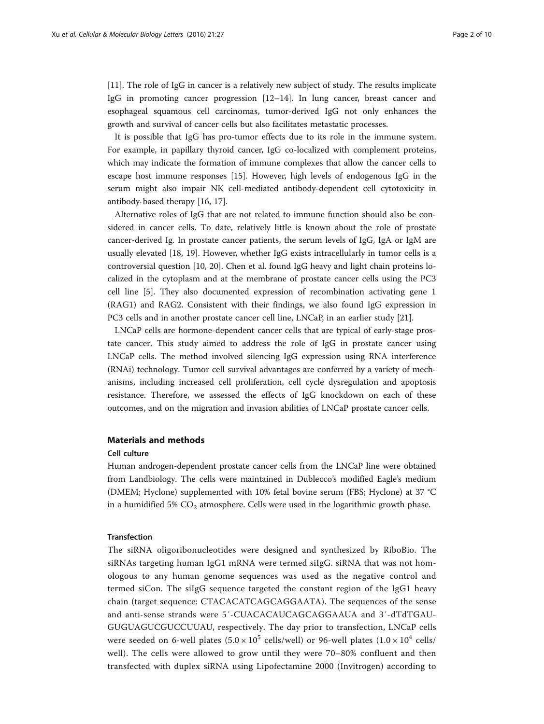[[11\]](#page-9-0). The role of IgG in cancer is a relatively new subject of study. The results implicate IgG in promoting cancer progression [\[12](#page-9-0)–[14](#page-9-0)]. In lung cancer, breast cancer and esophageal squamous cell carcinomas, tumor-derived IgG not only enhances the growth and survival of cancer cells but also facilitates metastatic processes.

It is possible that IgG has pro-tumor effects due to its role in the immune system. For example, in papillary thyroid cancer, IgG co-localized with complement proteins, which may indicate the formation of immune complexes that allow the cancer cells to escape host immune responses [\[15\]](#page-9-0). However, high levels of endogenous IgG in the serum might also impair NK cell-mediated antibody-dependent cell cytotoxicity in antibody-based therapy [\[16](#page-9-0), [17\]](#page-9-0).

Alternative roles of IgG that are not related to immune function should also be considered in cancer cells. To date, relatively little is known about the role of prostate cancer-derived Ig. In prostate cancer patients, the serum levels of IgG, IgA or IgM are usually elevated [[18](#page-9-0), [19\]](#page-9-0). However, whether IgG exists intracellularly in tumor cells is a controversial question [\[10](#page-9-0), [20](#page-9-0)]. Chen et al. found IgG heavy and light chain proteins localized in the cytoplasm and at the membrane of prostate cancer cells using the PC3 cell line [[5\]](#page-8-0). They also documented expression of recombination activating gene 1 (RAG1) and RAG2. Consistent with their findings, we also found IgG expression in PC3 cells and in another prostate cancer cell line, LNCaP, in an earlier study [[21\]](#page-9-0).

LNCaP cells are hormone-dependent cancer cells that are typical of early-stage prostate cancer. This study aimed to address the role of IgG in prostate cancer using LNCaP cells. The method involved silencing IgG expression using RNA interference (RNAi) technology. Tumor cell survival advantages are conferred by a variety of mechanisms, including increased cell proliferation, cell cycle dysregulation and apoptosis resistance. Therefore, we assessed the effects of IgG knockdown on each of these outcomes, and on the migration and invasion abilities of LNCaP prostate cancer cells.

#### Materials and methods

#### Cell culture

Human androgen-dependent prostate cancer cells from the LNCaP line were obtained from Landbiology. The cells were maintained in Dublecco's modified Eagle's medium (DMEM; Hyclone) supplemented with 10% fetal bovine serum (FBS; Hyclone) at 37 °C in a humidified 5%  $CO<sub>2</sub>$  atmosphere. Cells were used in the logarithmic growth phase.

#### Transfection

The siRNA oligoribonucleotides were designed and synthesized by RiboBio. The siRNAs targeting human IgG1 mRNA were termed siIgG. siRNA that was not homologous to any human genome sequences was used as the negative control and termed siCon. The siIgG sequence targeted the constant region of the IgG1 heavy chain (target sequence: CTACACATCAGCAGGAATA). The sequences of the sense and anti-sense strands were 5′-CUACACAUCAGCAGGAAUA and 3′-dTdTGAU-GUGUAGUCGUCCUUAU, respectively. The day prior to transfection, LNCaP cells were seeded on 6-well plates  $(5.0 \times 10^5 \text{ cells/well})$  or 96-well plates  $(1.0 \times 10^4 \text{ cells/m})$ well). The cells were allowed to grow until they were 70–80% confluent and then transfected with duplex siRNA using Lipofectamine 2000 (Invitrogen) according to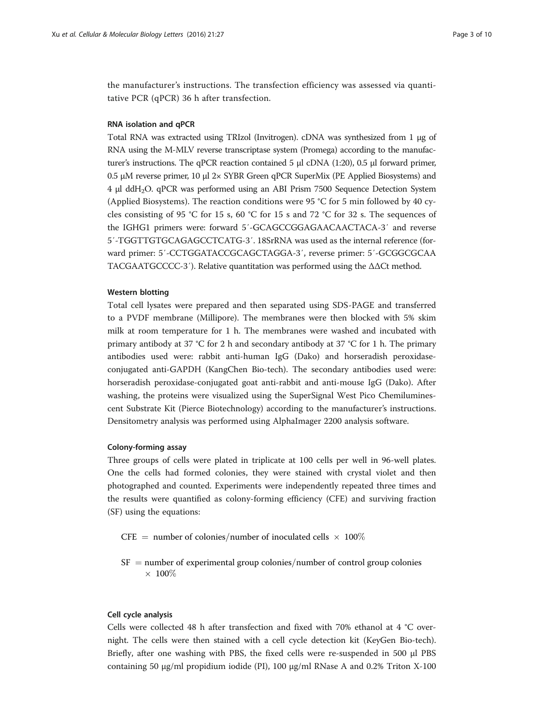the manufacturer's instructions. The transfection efficiency was assessed via quantitative PCR (qPCR) 36 h after transfection.

#### RNA isolation and qPCR

Total RNA was extracted using TRIzol (Invitrogen). cDNA was synthesized from 1 μg of RNA using the M-MLV reverse transcriptase system (Promega) according to the manufacturer's instructions. The qPCR reaction contained 5 μl cDNA (1:20), 0.5 μl forward primer, 0.5 μM reverse primer, 10 μl  $2 \times$  SYBR Green qPCR SuperMix (PE Applied Biosystems) and 4 μl ddH2O. qPCR was performed using an ABI Prism 7500 Sequence Detection System (Applied Biosystems). The reaction conditions were 95 °C for 5 min followed by 40 cycles consisting of 95 °C for 15 s, 60 °C for 15 s and 72 °C for 32 s. The sequences of the IGHG1 primers were: forward 5′-GCAGCCGGAGAACAACTACA-3′ and reverse 5′-TGGTTGTGCAGAGCCTCATG-3′. 18SrRNA was used as the internal reference (forward primer: 5′-CCTGGATACCGCAGCTAGGA-3′, reverse primer: 5′-GCGGCGCAA TACGAATGCCCC-3′). Relative quantitation was performed using the ΔΔCt method.

#### Western blotting

Total cell lysates were prepared and then separated using SDS-PAGE and transferred to a PVDF membrane (Millipore). The membranes were then blocked with 5% skim milk at room temperature for 1 h. The membranes were washed and incubated with primary antibody at 37 °C for 2 h and secondary antibody at 37 °C for 1 h. The primary antibodies used were: rabbit anti-human IgG (Dako) and horseradish peroxidaseconjugated anti-GAPDH (KangChen Bio-tech). The secondary antibodies used were: horseradish peroxidase-conjugated goat anti-rabbit and anti-mouse IgG (Dako). After washing, the proteins were visualized using the SuperSignal West Pico Chemiluminescent Substrate Kit (Pierce Biotechnology) according to the manufacturer's instructions. Densitometry analysis was performed using AlphaImager 2200 analysis software.

#### Colony-forming assay

Three groups of cells were plated in triplicate at 100 cells per well in 96-well plates. One the cells had formed colonies, they were stained with crystal violet and then photographed and counted. Experiments were independently repeated three times and the results were quantified as colony-forming efficiency (CFE) and surviving fraction (SF) using the equations:

- $\text{CFE} = \text{number of colonies/number of inoculated cells} \times 100\%$
- $SF = number of experimental group colonies/number of control group colonies$  $\times$  100\%

# Cell cycle analysis

Cells were collected 48 h after transfection and fixed with 70% ethanol at 4 °C overnight. The cells were then stained with a cell cycle detection kit (KeyGen Bio-tech). Briefly, after one washing with PBS, the fixed cells were re-suspended in 500 μl PBS containing 50 μg/ml propidium iodide (PI), 100 μg/ml RNase A and 0.2% Triton X-100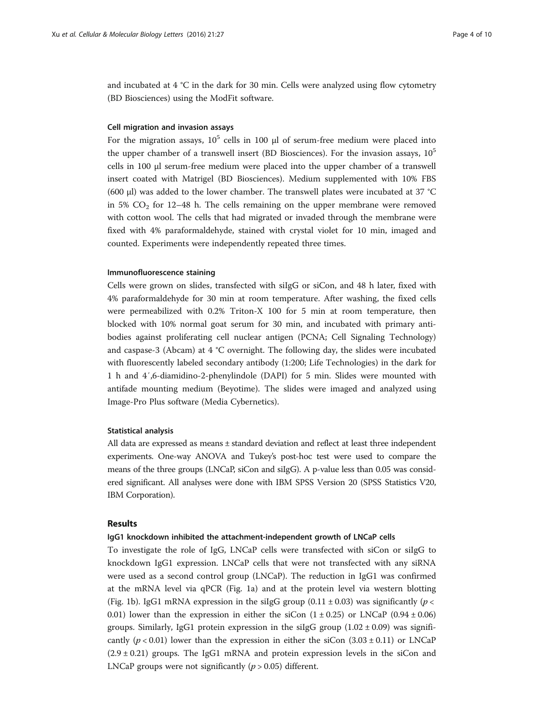and incubated at 4 °C in the dark for 30 min. Cells were analyzed using flow cytometry (BD Biosciences) using the ModFit software.

### Cell migration and invasion assays

For the migration assays,  $10^5$  cells in 100  $\mu$ l of serum-free medium were placed into the upper chamber of a transwell insert (BD Biosciences). For the invasion assays,  $10^5$ cells in 100 μl serum-free medium were placed into the upper chamber of a transwell insert coated with Matrigel (BD Biosciences). Medium supplemented with 10% FBS (600 μl) was added to the lower chamber. The transwell plates were incubated at 37 °C in 5%  $CO<sub>2</sub>$  for 12–48 h. The cells remaining on the upper membrane were removed with cotton wool. The cells that had migrated or invaded through the membrane were fixed with 4% paraformaldehyde, stained with crystal violet for 10 min, imaged and counted. Experiments were independently repeated three times.

#### Immunofluorescence staining

Cells were grown on slides, transfected with siIgG or siCon, and 48 h later, fixed with 4% paraformaldehyde for 30 min at room temperature. After washing, the fixed cells were permeabilized with 0.2% Triton-X 100 for 5 min at room temperature, then blocked with 10% normal goat serum for 30 min, and incubated with primary antibodies against proliferating cell nuclear antigen (PCNA; Cell Signaling Technology) and caspase-3 (Abcam) at 4 °C overnight. The following day, the slides were incubated with fluorescently labeled secondary antibody (1:200; Life Technologies) in the dark for 1 h and 4′,6-diamidino-2-phenylindole (DAPI) for 5 min. Slides were mounted with antifade mounting medium (Beyotime). The slides were imaged and analyzed using Image-Pro Plus software (Media Cybernetics).

#### Statistical analysis

All data are expressed as means ± standard deviation and reflect at least three independent experiments. One-way ANOVA and Tukey's post-hoc test were used to compare the means of the three groups (LNCaP, siCon and siIgG). A p-value less than 0.05 was considered significant. All analyses were done with IBM SPSS Version 20 (SPSS Statistics V20, IBM Corporation).

### Results

#### IgG1 knockdown inhibited the attachment-independent growth of LNCaP cells

To investigate the role of IgG, LNCaP cells were transfected with siCon or siIgG to knockdown IgG1 expression. LNCaP cells that were not transfected with any siRNA were used as a second control group (LNCaP). The reduction in IgG1 was confirmed at the mRNA level via qPCR (Fig. [1a](#page-4-0)) and at the protein level via western blotting (Fig. [1b](#page-4-0)). IgG1 mRNA expression in the siIgG group (0.11  $\pm$  0.03) was significantly (*p* < 0.01) lower than the expression in either the siCon  $(1 \pm 0.25)$  or LNCaP (0.94  $\pm$  0.06) groups. Similarly, IgG1 protein expression in the siIgG group  $(1.02 \pm 0.09)$  was significantly ( $p < 0.01$ ) lower than the expression in either the siCon (3.03 ± 0.11) or LNCaP  $(2.9 \pm 0.21)$  groups. The IgG1 mRNA and protein expression levels in the siCon and LNCaP groups were not significantly  $(p > 0.05)$  different.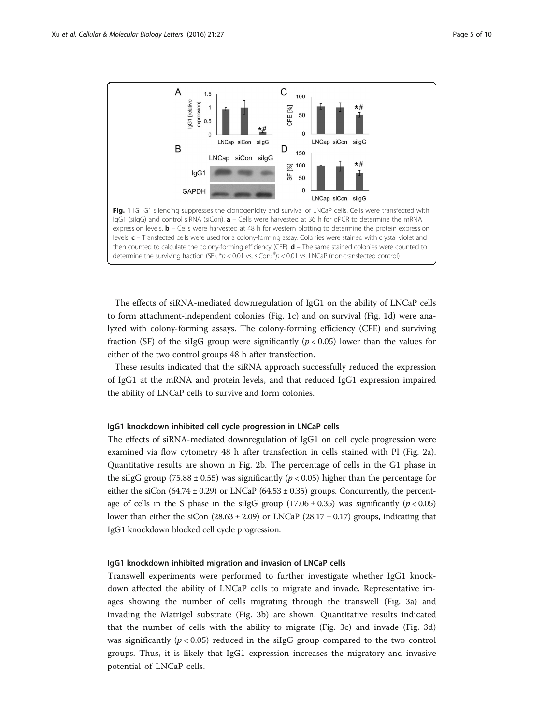<span id="page-4-0"></span>

The effects of siRNA-mediated downregulation of IgG1 on the ability of LNCaP cells to form attachment-independent colonies (Fig. 1c) and on survival (Fig. 1d) were analyzed with colony-forming assays. The colony-forming efficiency (CFE) and surviving fraction (SF) of the siIgG group were significantly ( $p < 0.05$ ) lower than the values for either of the two control groups 48 h after transfection.

These results indicated that the siRNA approach successfully reduced the expression of IgG1 at the mRNA and protein levels, and that reduced IgG1 expression impaired the ability of LNCaP cells to survive and form colonies.

#### IgG1 knockdown inhibited cell cycle progression in LNCaP cells

The effects of siRNA-mediated downregulation of IgG1 on cell cycle progression were examined via flow cytometry 48 h after transfection in cells stained with PI (Fig. [2a](#page-5-0)). Quantitative results are shown in Fig. [2b](#page-5-0). The percentage of cells in the G1 phase in the siIgG group (75.88  $\pm$  0.55) was significantly ( $p$  < 0.05) higher than the percentage for either the siCon  $(64.74 \pm 0.29)$  or LNCaP  $(64.53 \pm 0.35)$  groups. Concurrently, the percentage of cells in the S phase in the siIgG group  $(17.06 \pm 0.35)$  was significantly  $(p < 0.05)$ lower than either the siCon  $(28.63 \pm 2.09)$  or LNCaP (28.17  $\pm$  0.17) groups, indicating that IgG1 knockdown blocked cell cycle progression.

#### IgG1 knockdown inhibited migration and invasion of LNCaP cells

Transwell experiments were performed to further investigate whether IgG1 knockdown affected the ability of LNCaP cells to migrate and invade. Representative images showing the number of cells migrating through the transwell (Fig. [3a\)](#page-6-0) and invading the Matrigel substrate (Fig. [3b](#page-6-0)) are shown. Quantitative results indicated that the number of cells with the ability to migrate (Fig. [3c\)](#page-6-0) and invade (Fig. [3d](#page-6-0)) was significantly ( $p < 0.05$ ) reduced in the silgG group compared to the two control groups. Thus, it is likely that IgG1 expression increases the migratory and invasive potential of LNCaP cells.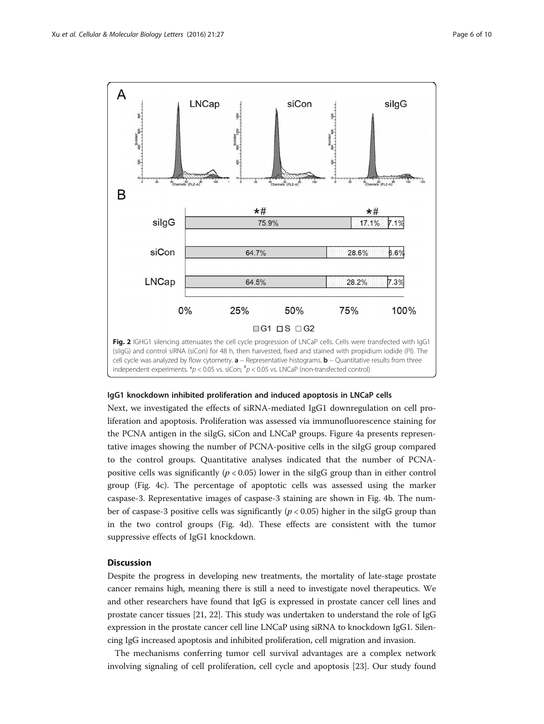<span id="page-5-0"></span>

#### IgG1 knockdown inhibited proliferation and induced apoptosis in LNCaP cells

Next, we investigated the effects of siRNA-mediated IgG1 downregulation on cell proliferation and apoptosis. Proliferation was assessed via immunofluorescence staining for the PCNA antigen in the siIgG, siCon and LNCaP groups. Figure [4a](#page-7-0) presents representative images showing the number of PCNA-positive cells in the siIgG group compared to the control groups. Quantitative analyses indicated that the number of PCNApositive cells was significantly ( $p < 0.05$ ) lower in the silgG group than in either control group (Fig. [4c\)](#page-7-0). The percentage of apoptotic cells was assessed using the marker caspase-3. Representative images of caspase-3 staining are shown in Fig. [4b](#page-7-0). The number of caspase-3 positive cells was significantly ( $p < 0.05$ ) higher in the silgG group than in the two control groups (Fig. [4d](#page-7-0)). These effects are consistent with the tumor suppressive effects of IgG1 knockdown.

#### **Discussion**

Despite the progress in developing new treatments, the mortality of late-stage prostate cancer remains high, meaning there is still a need to investigate novel therapeutics. We and other researchers have found that IgG is expressed in prostate cancer cell lines and prostate cancer tissues [\[21](#page-9-0), [22\]](#page-9-0). This study was undertaken to understand the role of IgG expression in the prostate cancer cell line LNCaP using siRNA to knockdown IgG1. Silencing IgG increased apoptosis and inhibited proliferation, cell migration and invasion.

The mechanisms conferring tumor cell survival advantages are a complex network involving signaling of cell proliferation, cell cycle and apoptosis [\[23\]](#page-9-0). Our study found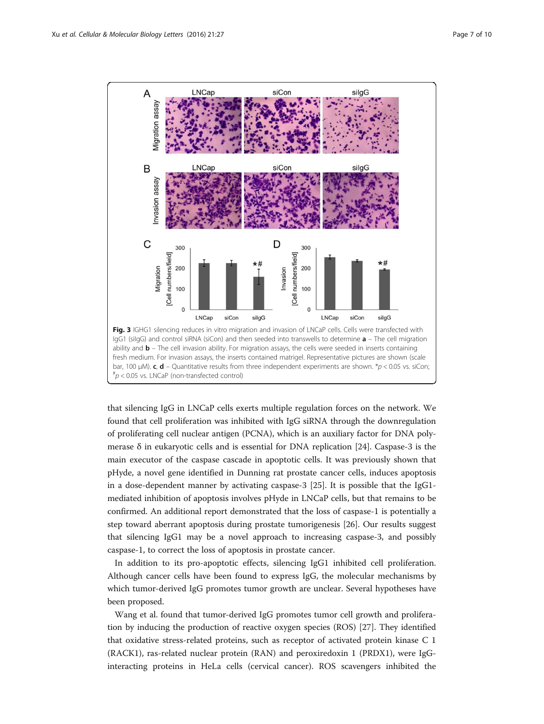<span id="page-6-0"></span>

that silencing IgG in LNCaP cells exerts multiple regulation forces on the network. We found that cell proliferation was inhibited with IgG siRNA through the downregulation of proliferating cell nuclear antigen (PCNA), which is an auxiliary factor for DNA polymerase  $\delta$  in eukaryotic cells and is essential for DNA replication [[24\]](#page-9-0). Caspase-3 is the main executor of the caspase cascade in apoptotic cells. It was previously shown that pHyde, a novel gene identified in Dunning rat prostate cancer cells, induces apoptosis in a dose-dependent manner by activating caspase-3 [[25\]](#page-9-0). It is possible that the IgG1 mediated inhibition of apoptosis involves pHyde in LNCaP cells, but that remains to be confirmed. An additional report demonstrated that the loss of caspase-1 is potentially a step toward aberrant apoptosis during prostate tumorigenesis [[26\]](#page-9-0). Our results suggest that silencing IgG1 may be a novel approach to increasing caspase-3, and possibly caspase-1, to correct the loss of apoptosis in prostate cancer.

In addition to its pro-apoptotic effects, silencing IgG1 inhibited cell proliferation. Although cancer cells have been found to express IgG, the molecular mechanisms by which tumor-derived IgG promotes tumor growth are unclear. Several hypotheses have been proposed.

Wang et al. found that tumor-derived IgG promotes tumor cell growth and proliferation by inducing the production of reactive oxygen species (ROS) [[27\]](#page-9-0). They identified that oxidative stress-related proteins, such as receptor of activated protein kinase C 1 (RACK1), ras-related nuclear protein (RAN) and peroxiredoxin 1 (PRDX1), were IgGinteracting proteins in HeLa cells (cervical cancer). ROS scavengers inhibited the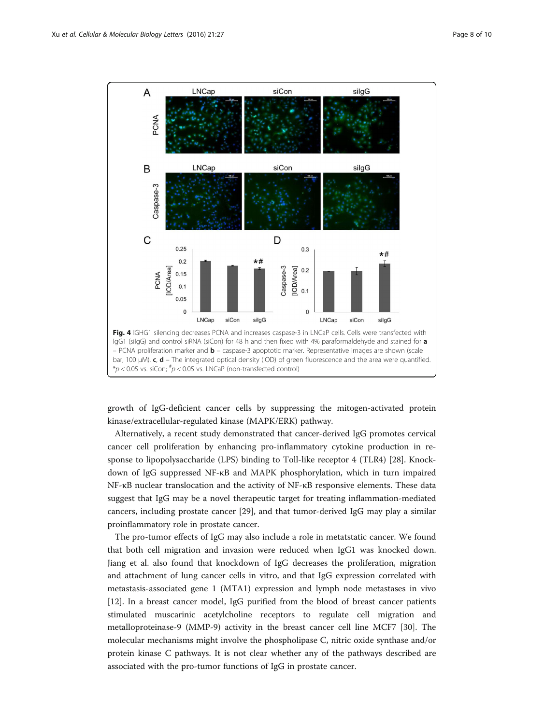<span id="page-7-0"></span>

growth of IgG-deficient cancer cells by suppressing the mitogen-activated protein kinase/extracellular-regulated kinase (MAPK/ERK) pathway.

Alternatively, a recent study demonstrated that cancer-derived IgG promotes cervical cancer cell proliferation by enhancing pro-inflammatory cytokine production in response to lipopolysaccharide (LPS) binding to Toll-like receptor 4 (TLR4) [\[28](#page-9-0)]. Knockdown of IgG suppressed NF-κB and MAPK phosphorylation, which in turn impaired NF-κB nuclear translocation and the activity of NF-κB responsive elements. These data suggest that IgG may be a novel therapeutic target for treating inflammation-mediated cancers, including prostate cancer [[29\]](#page-9-0), and that tumor-derived IgG may play a similar proinflammatory role in prostate cancer.

The pro-tumor effects of IgG may also include a role in metatstatic cancer. We found that both cell migration and invasion were reduced when IgG1 was knocked down. Jiang et al. also found that knockdown of IgG decreases the proliferation, migration and attachment of lung cancer cells in vitro, and that IgG expression correlated with metastasis-associated gene 1 (MTA1) expression and lymph node metastases in vivo [[12\]](#page-9-0). In a breast cancer model, IgG purified from the blood of breast cancer patients stimulated muscarinic acetylcholine receptors to regulate cell migration and metalloproteinase-9 (MMP-9) activity in the breast cancer cell line MCF7 [[30\]](#page-9-0). The molecular mechanisms might involve the phospholipase C, nitric oxide synthase and/or protein kinase C pathways. It is not clear whether any of the pathways described are associated with the pro-tumor functions of IgG in prostate cancer.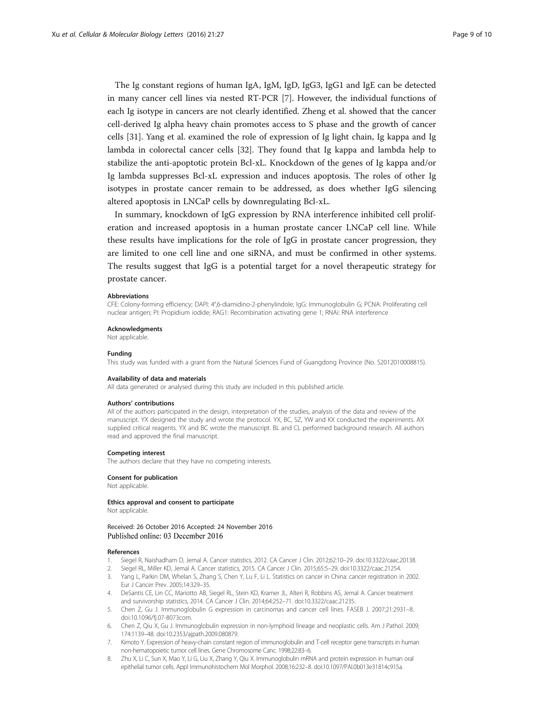<span id="page-8-0"></span>The Ig constant regions of human IgA, IgM, IgD, IgG3, IgG1 and IgE can be detected in many cancer cell lines via nested RT-PCR [7]. However, the individual functions of each Ig isotype in cancers are not clearly identified. Zheng et al. showed that the cancer cell-derived Ig alpha heavy chain promotes access to S phase and the growth of cancer cells [[31\]](#page-9-0). Yang et al. examined the role of expression of Ig light chain, Ig kappa and Ig lambda in colorectal cancer cells [[32\]](#page-9-0). They found that Ig kappa and lambda help to stabilize the anti-apoptotic protein Bcl-xL. Knockdown of the genes of Ig kappa and/or Ig lambda suppresses Bcl-xL expression and induces apoptosis. The roles of other Ig isotypes in prostate cancer remain to be addressed, as does whether IgG silencing altered apoptosis in LNCaP cells by downregulating Bcl-xL.

In summary, knockdown of IgG expression by RNA interference inhibited cell proliferation and increased apoptosis in a human prostate cancer LNCaP cell line. While these results have implications for the role of IgG in prostate cancer progression, they are limited to one cell line and one siRNA, and must be confirmed in other systems. The results suggest that IgG is a potential target for a novel therapeutic strategy for prostate cancer.

#### Abbreviations

CFE: Colony-forming efficiency; DAPI: 4′,6-diamidino-2-phenylindole; IgG: Immunoglobulin G; PCNA: Proliferating cell nuclear antigen; PI: Propidium iodide; RAG1: Recombination activating gene 1; RNAi: RNA interference

#### Acknowledgments

Not applicable.

#### Funding

This study was funded with a grant from the Natural Sciences Fund of Guangdong Province (No. S2012010008815).

#### Availability of data and materials

All data generated or analysed during this study are included in this published article.

#### Authors' contributions

All of the authors participated in the design, interpretation of the studies, analysis of the data and review of the manuscript. YX designed the study and wrote the protocol. YX, BC, SZ, YW and KX conducted the experiments. AX supplied critical reagents. YX and BC wrote the manuscript. BL and CL performed background research. All authors read and approved the final manuscript.

#### Competing interest

The authors declare that they have no competing interests.

#### Consent for publication

Not applicable.

# Ethics approval and consent to participate

Not applicable.

#### Received: 26 October 2016 Accepted: 24 November 2016 Published online: 03 December 2016

#### References

- 1. Siegel R, Naishadham D, Jemal A. Cancer statistics, 2012. CA Cancer J Clin. 2012;62:10–29. doi:[10.3322/caac.20138.](http://dx.doi.org/10.3322/caac.20138)
- 2. Siegel RL, Miller KD, Jemal A. Cancer statistics, 2015. CA Cancer J Clin. 2015;65:5–29. doi[:10.3322/caac.21254](http://dx.doi.org/10.3322/caac.21254).
- 3. Yang L, Parkin DM, Whelan S, Zhang S, Chen Y, Lu F, Li L. Statistics on cancer in China: cancer registration in 2002. Eur J Cancer Prev. 2005;14:329–35.
- 4. DeSantis CE, Lin CC, Mariotto AB, Siegel RL, Stein KD, Kramer JL, Alteri R, Robbins AS, Jemal A. Cancer treatment and survivorship statistics, 2014. CA Cancer J Clin. 2014;64:252–71. doi[:10.3322/caac.21235](http://dx.doi.org/10.3322/caac.21235).
- 5. Chen Z, Gu J. Immunoglobulin G expression in carcinomas and cancer cell lines. FASEB J. 2007;21:2931–8. doi[:10.1096/fj.07-8073com](http://dx.doi.org/10.1096/fj.07-8073com).
- 6. Chen Z, Qiu X, Gu J. Immunoglobulin expression in non-lymphoid lineage and neoplastic cells. Am J Pathol. 2009; 174:1139–48. doi:[10.2353/ajpath.2009.080879](http://dx.doi.org/10.2353/ajpath.2009.080879).
- 7. Kimoto Y. Expression of heavy-chain constant region of immunoglobulin and T-cell receptor gene transcripts in human non-hematopoietic tumor cell lines. Gene Chromosome Canc. 1998;22:83–6.
- 8. Zhu X, Li C, Sun X, Mao Y, Li G, Liu X, Zhang Y, Qiu X. Immunoglobulin mRNA and protein expression in human oral epithelial tumor cells. Appl Immunohistochem Mol Morphol. 2008;16:232–8. doi:[10.1097/PAI.0b013e31814c915a](http://dx.doi.org/10.1097/PAI.0b013e31814c915a).